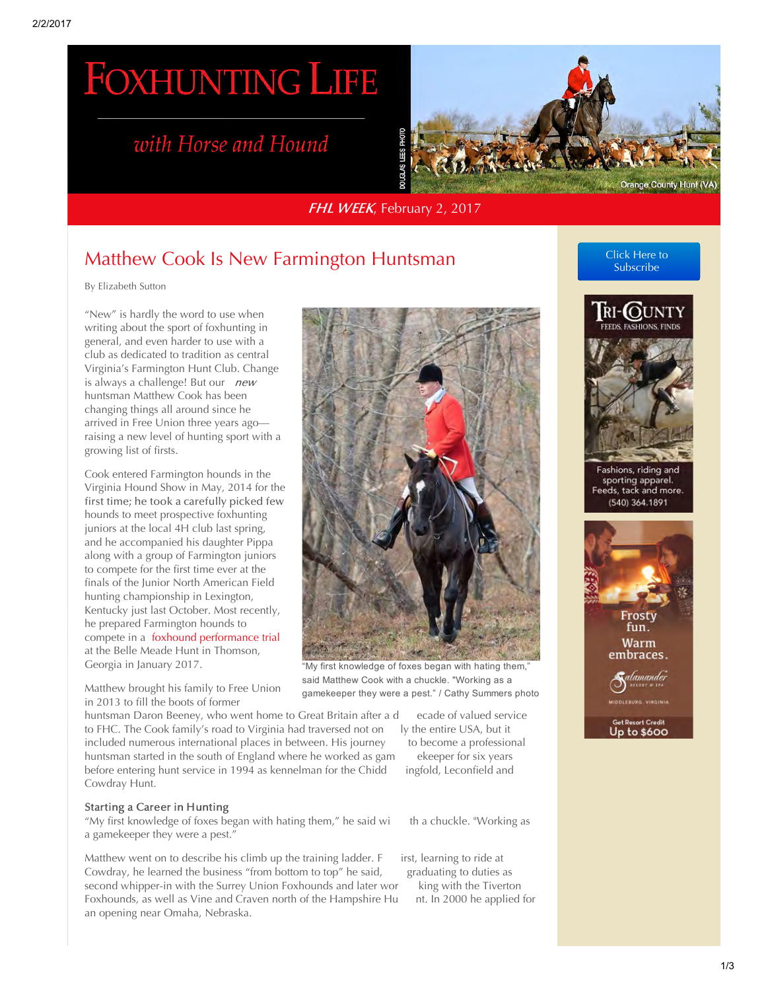# **FOXHUNTING LIFE**

## with Horse and Hound



FHL WEEK, February 2, 2017

### [Matthew Cook Is New Farmington Huntsman](http://foxhuntinglife.com/pdf/1906-matthew-cook-is-new-farmington-huntsman-2)

By Elizabeth Sutton

"New" is hardly the word to use when writing about the sport of foxhunting in general, and even harder to use with a club as dedicated to tradition as central Virginia's Farmington Hunt Club. Change is always a challenge! But our new huntsman Matthew Cook has been changing things all around since he arrived in Free Union three years ago raising a new level of hunting sport with a growing list of firsts.

Cook entered Farmington hounds in the Virginia Hound Show in May, 2014 for the first time; he took a carefully picked few hounds to meet prospective foxhunting juniors at the local 4H club last spring, and he accompanied his daughter Pippa along with a group of Farmington juniors to compete for the first time ever at the finals of the Junior North American Field hunting championship in Lexington, Kentucky just last October. Most recently, he prepared Farmington hounds to compete in a [foxhound performance trial](http://foxhuntinglife.com/foxhunting-horse-a-hound/norman-fine/1891-bull-run-on-foxhunting-spree-at-belle-meade) at the Belle Meade Hunt in Thomson, Georgia in January 2017.

Matthew brought his family to Free Union in 2013 to fill the boots of former

huntsman Daron Beeney, who went home to Great Britain after a decade of valued service<br>to FHC. The Cook family's road to Virginia had traversed not on ly the entire USA, but it to FHC. The Cook family's road to Virginia had traversed not on ly the entire USA, but it included numerous international places in between. His journey to become a professional included numerous international places in between. His journey to become a profession<br>huntsman started in the south of England where he worked as gam ekeeper for six years huntsman started in the south of England where he worked as gam ekeeper for six years<br>before entering hunt service in 1994 as kennelman for the Chidd ingfold, Leconfield and before entering hunt service in 1994 as kennelman for the Chidd Cowdray Hunt.

#### Starting a Career in Hunting

"My first knowledge of foxes began with hating them," he said wi th a chuckle. "Working as a gamekeeper they were a pest."

Matthew went on to describe his climb up the training ladder.  $F$  irst, learning to ride at Cowdray, he learned the business "from bottom to top" he said, graduating to duties as Cowdray, he learned the business "from bottom to top" he said, graduating to duties as<br>second whipper-in with the Surrey Union Foxhounds and later wor king with the Tiverton second whipper-in with the Surrey Union Foxhounds and later wor king with the Tiverton<br>Foxhounds, as well as Vine and Craven north of the Hampshire Hu nt. In 2000 he applied for Foxhounds, as well as Vine and Craven north of the Hampshire Hu an opening near Omaha, Nebraska.



"My first knowledge of foxes began with hating them," said Matthew Cook with a chuckle. "Working as a gamekeeper they were a pest." / Cathy Summers photo

[Click Here to](http://foxhuntinglife.com/subscribefhl?lang=en) Subscribe



Fashions, riding and sporting apparel.<br>Feeds, tack and more. (540) 364.1891

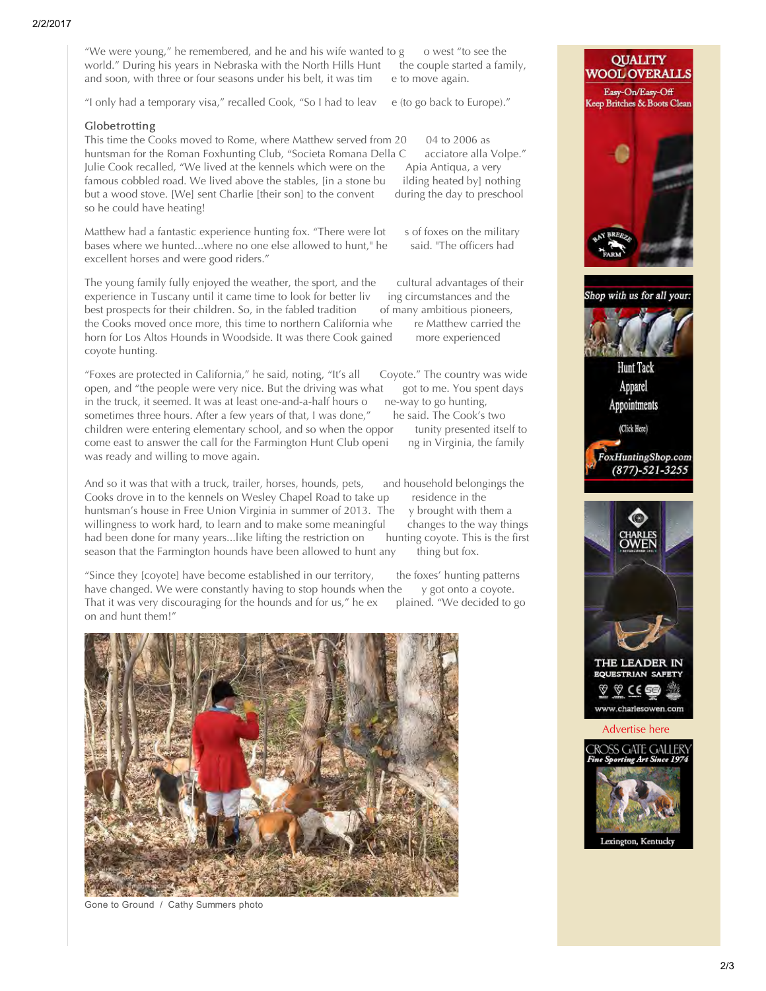"We were young," he remembered, and he and his wife wanted to  $g \circ$  o west "to see the world." During his years in Nebraska with the North Hills Hunt the couple started a family, world." During his years in Nebraska with the North Hills Hunt the couple start<br>and soon, with three or four seasons under his belt, it was tim e to move again. and soon, with three or four seasons under his belt, it was tim

"I only had a temporary visa," recalled Cook, "So I had to leav e (to go back to Europe)."

#### Globetrotting

This time the Cooks moved to Rome, where Matthew served from 20 04 to 2006 as<br>huntsman for the Roman Foxhunting Club, "Societa Romana Della Cacciatore alla Volpe." huntsman for the Roman Foxhunting Club, "Societa Romana Della C acciatore alla Vo<br>Julie Cook recalled, "We lived at the kennels which were on the Apia Antiqua, a very Julie Cook recalled, "We lived at the kennels which were on the Apia Antiqua, a very<br>famous cobbled road. We lived above the stables, [in a stone bu ilding heated by] nothing famous cobbled road. We lived above the stables, [in a stone bu ilding heated by] nothing<br>but a wood stove. [We] sent Charlie [their son] to the convent during the day to preschool but a wood stove. [We] sent Charlie [their son] to the convent so he could have heating!

Matthew had a fantastic experience hunting fox. "There were lot sof foxes on the military bases where we hunted...where no one else allowed to hunt." he said. "The officers had bases where we hunted...where no one else allowed to hunt," he excellent horses and were good riders."

The young family fully enjoyed the weather, the sport, and the cultural advantages of their experience in Tuscany until it came time to look for better liv ing circumstances and the experience in Tuscany until it came time to look for better liv ing circumstances and the best prospects for their children. So, in the fabled tradition of many ambitious pioneers, best prospects for their children. So, in the fabled tradition of many ambitious pioneers, the Cooks moved once more, this time to northern California whe re Matthew carried the the Cooks moved once more, this time to northern California whe re Matthew carried horn for Los Altos Hounds in Woodside. It was there Cook gained more experienced horn for Los Altos Hounds in Woodside. It was there Cook gained coyote hunting.

"Foxes are protected in California," he said, noting, "It's all Coyote." The country was wide open, and "the people were very nice. But the driving was what got to me. You spe<br>in the truck, it seemed. It was at least one-and-a-half hours o ne-way to go hunting, in the truck, it seemed. It was at least one-and-a-half hours once-way to go hunting, sometimes three hours. After a few years of that, I was done," he said. The Cook's two sometimes three hours. After a few years of that, I was done," he said. The Cook's two<br>children were entering elementary school, and so when the oppor tunity presented itself to children were entering elementary school, and so when the oppor tunity presented itself to come east to answer the call for the Farmington Hunt Club openi ng in Virginia, the family come east to answer the call for the Farmington Hunt Club openi was ready and willing to move again.

And so it was that with a truck, trailer, horses, hounds, pets, and household belongings the Cooks drove in to the kennels on Wesley Chapel Road to take up residence in the Cooks drove in to the kennels on Wesley Chapel Road to take up residence in the huntsman's house in Free Union Virginia in summer of 2013. The y brought with them a huntsman's house in Free Union Virginia in summer of 2013. The y brought with them a<br>willingness to work hard, to learn and to make some meaningful changes to the way things willingness to work hard, to learn and to make some meaningful changes to the way things<br>had been done for many years...like lifting the restriction on hunting coyote. This is the first had been done for many years...like lifting the restriction on hunting coyote. This season that the Farmington hounds have been allowed to hunt any thing but fox. season that the Farmington hounds have been allowed to hunt any

"Since they [coyote] have become established in our territory, the foxes' hunting patterns have changed. We were constantly having to stop hounds when the  $\gamma$  got onto a coyote. have changed. We were constantly having to stop hounds when the y got onto a coyote.<br>That it was very discouraging for the hounds and for us," he ex plained. "We decided to go That it was very discouraging for the hounds and for us," he ex on and hunt them!"



Gone to Ground / Cathy Summers photo